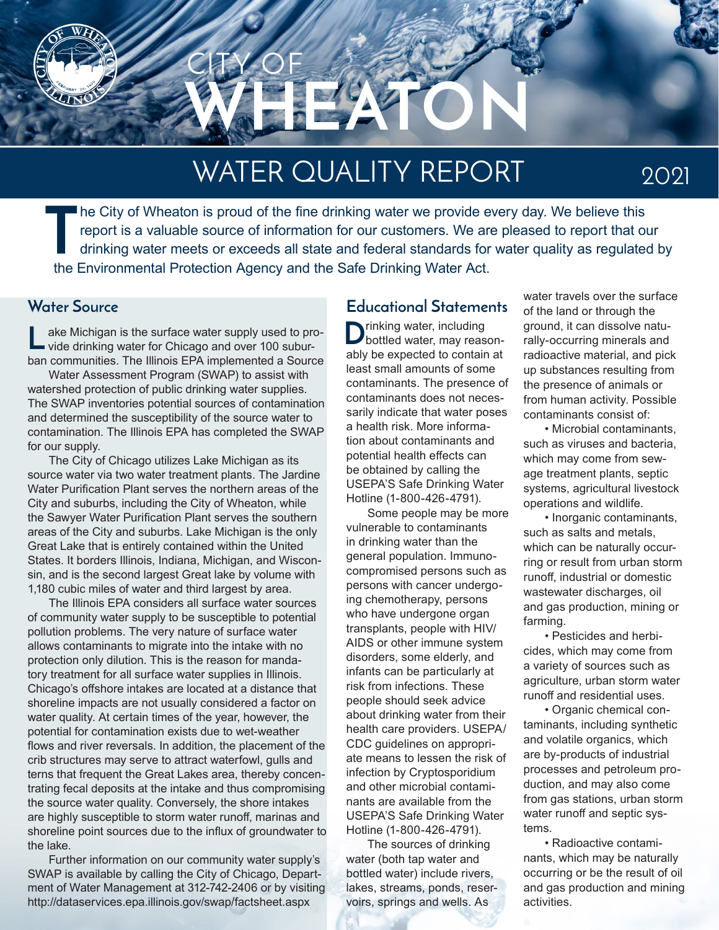

# WATER QUALITY REPORT

2021

**T** he City of Wheaton is proud of the fine drinking water we provide every day. We believe this report is a valuable source of information for our customers. We are pleased to report that our drinking water meets or exceeds all state and federal standards for water quality as regulated by the Environmental Protection Agency and the Safe Drinking Water Act.

ake Michigan is the surface water supply used to provide drinking water for Chicago and over 100 suburban communities. The Illinois EPA implemented a Source **L**

Water Assessment Program (SWAP) to assist with watershed protection of public drinking water supplies. The SWAP inventories potential sources of contamination and determined the susceptibility of the source water to contamination. The Illinois EPA has completed the SWAP for our supply.

The City of Chicago utilizes Lake Michigan as its source water via two water treatment plants. The Jardine Water Purification Plant serves the northern areas of the City and suburbs, including the City of Wheaton, while the Sawyer Water Purification Plant serves the southern areas of the City and suburbs. Lake Michigan is the only Great Lake that is entirely contained within the United States. It borders Illinois, Indiana, Michigan, and Wisconsin, and is the second largest Great lake by volume with 1,180 cubic miles of water and third largest by area.

The Illinois EPA considers all surface water sources of community water supply to be susceptible to potential pollution problems. The very nature of surface water allows contaminants to migrate into the intake with no protection only dilution. This is the reason for mandatory treatment for all surface water supplies in Illinois. Chicago's offshore intakes are located at a distance that shoreline impacts are not usually considered a factor on water quality. At certain times of the year, however, the potential for contamination exists due to wet-weather flows and river reversals. In addition, the placement of the crib structures may serve to attract waterfowl, gulls and terns that frequent the Great Lakes area, thereby concentrating fecal deposits at the intake and thus compromising the source water quality. Conversely, the shore intakes are highly susceptible to storm water runoff, marinas and shoreline point sources due to the influx of groundwater to the lake.

Further information on our community water supply's SWAP is available by calling the City of Chicago, Department of Water Management at 312-742-2406 or by visiting http://dataservices.epa.illinois.gov/swap/factsheet.aspx

#### **Water Source Educational Statements**

 $\sum$ rinking water, including<br>bottled water, may reasonably be expected to contain at least small amounts of some contaminants. The presence of contaminants does not necessarily indicate that water poses a health risk. More information about contaminants and potential health effects can be obtained by calling the USEPA'S Safe Drinking Water Hotline (1-800-426-4791).

Some people may be more vulnerable to contaminants in drinking water than the general population. Immunocompromised persons such as persons with cancer undergoing chemotherapy, persons who have undergone organ transplants, people with HIV/ AIDS or other immune system disorders, some elderly, and infants can be particularly at risk from infections. These people should seek advice about drinking water from their health care providers. USEPA/ CDC guidelines on appropriate means to lessen the risk of infection by Cryptosporidium and other microbial contaminants are available from the USEPA'S Safe Drinking Water Hotline (1-800-426-4791).

The sources of drinking water (both tap water and bottled water) include rivers, lakes, streams, ponds, reservoirs, springs and wells. As

water travels over the surface of the land or through the ground, it can dissolve naturally-occurring minerals and radioactive material, and pick up substances resulting from the presence of animals or from human activity. Possible contaminants consist of:

• Microbial contaminants, such as viruses and bacteria, which may come from sewage treatment plants, septic systems, agricultural livestock operations and wildlife.

• Inorganic contaminants, such as salts and metals, which can be naturally occurring or result from urban storm runoff, industrial or domestic wastewater discharges, oil and gas production, mining or farming.

• Pesticides and herbicides, which may come from a variety of sources such as agriculture, urban storm water runoff and residential uses.

• Organic chemical contaminants, including synthetic and volatile organics, which are by-products of industrial processes and petroleum production, and may also come from gas stations, urban storm water runoff and septic systems.

• Radioactive contaminants, which may be naturally occurring or be the result of oil and gas production and mining activities.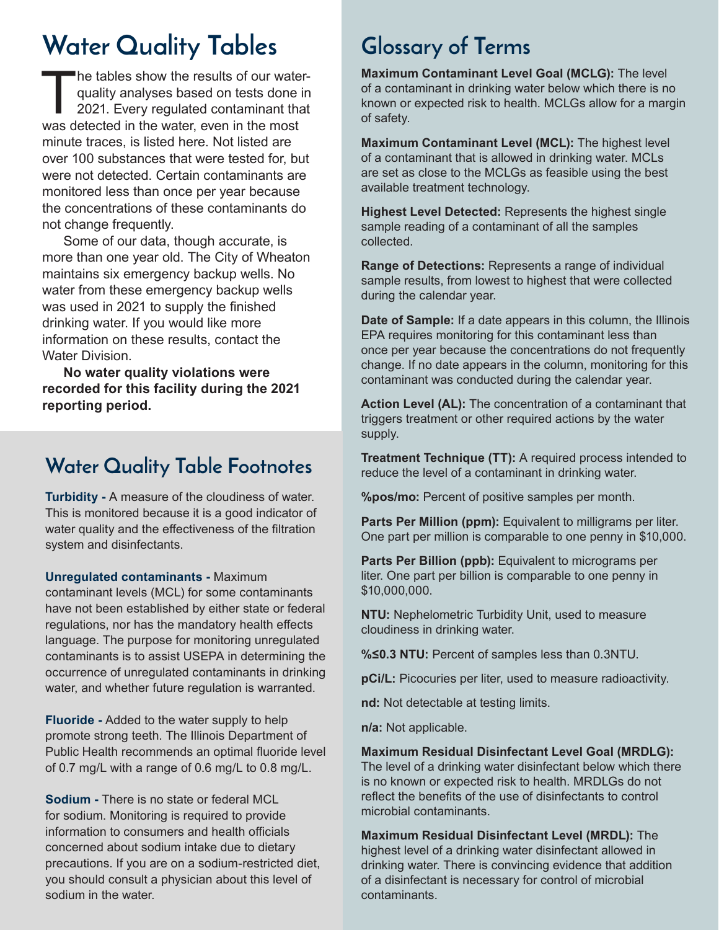# **Water Quality Tables Glossary of Terms**

The tables show the results of our waterquality analyses based on tests done in 2021. Every regulated contaminant that was detected in the water, even in the most minute traces, is listed here. Not listed are over 100 substances that were tested for, but were not detected. Certain contaminants are monitored less than once per year because the concentrations of these contaminants do not change frequently.

Some of our data, though accurate, is more than one year old. The City of Wheaton maintains six emergency backup wells. No water from these emergency backup wells was used in 2021 to supply the finished drinking water. If you would like more information on these results, contact the Water Division.

**No water quality violations were recorded for this facility during the 2021 reporting period.**

#### **Water Quality Table Footnotes**

**Turbidity -** A measure of the cloudiness of water. This is monitored because it is a good indicator of water quality and the effectiveness of the filtration system and disinfectants.

**Unregulated contaminants -** Maximum

contaminant levels (MCL) for some contaminants have not been established by either state or federal regulations, nor has the mandatory health effects language. The purpose for monitoring unregulated contaminants is to assist USEPA in determining the occurrence of unregulated contaminants in drinking water, and whether future regulation is warranted.

**Fluoride -** Added to the water supply to help promote strong teeth. The Illinois Department of Public Health recommends an optimal fluoride level of 0.7 mg/L with a range of 0.6 mg/L to 0.8 mg/L.

**Sodium -** There is no state or federal MCL for sodium. Monitoring is required to provide information to consumers and health officials concerned about sodium intake due to dietary precautions. If you are on a sodium-restricted diet, you should consult a physician about this level of sodium in the water.

**Maximum Contaminant Level Goal (MCLG):** The level of a contaminant in drinking water below which there is no known or expected risk to health. MCLGs allow for a margin of safety.

**Maximum Contaminant Level (MCL):** The highest level of a contaminant that is allowed in drinking water. MCLs are set as close to the MCLGs as feasible using the best available treatment technology.

**Highest Level Detected:** Represents the highest single sample reading of a contaminant of all the samples collected.

**Range of Detections:** Represents a range of individual sample results, from lowest to highest that were collected during the calendar year.

**Date of Sample:** If a date appears in this column, the Illinois EPA requires monitoring for this contaminant less than once per year because the concentrations do not frequently change. If no date appears in the column, monitoring for this contaminant was conducted during the calendar year.

**Action Level (AL):** The concentration of a contaminant that triggers treatment or other required actions by the water supply.

**Treatment Technique (TT):** A required process intended to reduce the level of a contaminant in drinking water.

**%pos/mo:** Percent of positive samples per month.

**Parts Per Million (ppm):** Equivalent to milligrams per liter. One part per million is comparable to one penny in \$10,000.

**Parts Per Billion (ppb):** Equivalent to micrograms per liter. One part per billion is comparable to one penny in \$10,000,000.

**NTU:** Nephelometric Turbidity Unit, used to measure cloudiness in drinking water.

**%≤0.3 NTU:** Percent of samples less than 0.3NTU.

**pCi/L:** Picocuries per liter, used to measure radioactivity.

**nd:** Not detectable at testing limits.

**n/a:** Not applicable.

**Maximum Residual Disinfectant Level Goal (MRDLG):** The level of a drinking water disinfectant below which there is no known or expected risk to health. MRDLGs do not reflect the benefits of the use of disinfectants to control microbial contaminants.

**Maximum Residual Disinfectant Level (MRDL):** The highest level of a drinking water disinfectant allowed in drinking water. There is convincing evidence that addition of a disinfectant is necessary for control of microbial contaminants.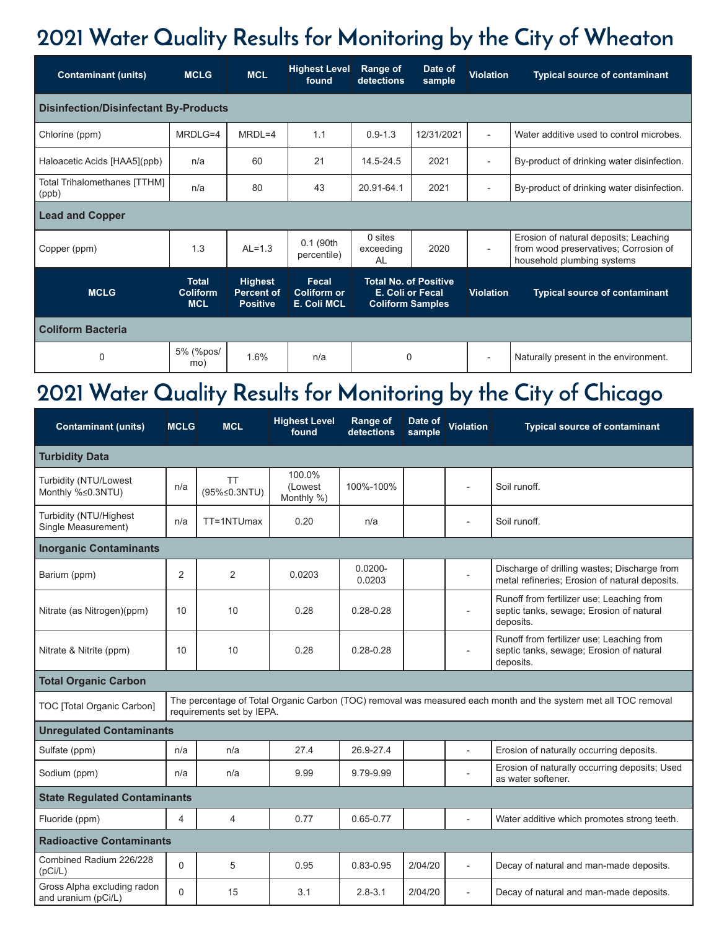## **2021 Water Quality Results for Monitoring by the City of Wheaton**

| <b>Contaminant (units)</b>                   | <b>MCLG</b>                            | <b>MCL</b>                                             | <b>Highest Level</b><br>found                     | <b>Range of</b><br>detections                                               | Date of<br>sample | <b>Violation</b>         | <b>Typical source of contaminant</b>                                                                         |  |  |  |  |  |
|----------------------------------------------|----------------------------------------|--------------------------------------------------------|---------------------------------------------------|-----------------------------------------------------------------------------|-------------------|--------------------------|--------------------------------------------------------------------------------------------------------------|--|--|--|--|--|
| <b>Disinfection/Disinfectant By-Products</b> |                                        |                                                        |                                                   |                                                                             |                   |                          |                                                                                                              |  |  |  |  |  |
| Chlorine (ppm)                               | MRDLG=4                                | $MRDL=4$                                               | 1.1                                               | $0.9 - 1.3$                                                                 | 12/31/2021        | $\overline{\phantom{a}}$ | Water additive used to control microbes.                                                                     |  |  |  |  |  |
| Haloacetic Acids [HAA5](ppb)                 | n/a                                    | 60                                                     | 21                                                | 14.5-24.5                                                                   | 2021              | $\overline{\phantom{a}}$ | By-product of drinking water disinfection.                                                                   |  |  |  |  |  |
| Total Trihalomethanes [TTHM]<br>(ppb)        | n/a                                    | 80                                                     | 43                                                | 20.91-64.1                                                                  | 2021              | $\overline{a}$           | By-product of drinking water disinfection.                                                                   |  |  |  |  |  |
| <b>Lead and Copper</b>                       |                                        |                                                        |                                                   |                                                                             |                   |                          |                                                                                                              |  |  |  |  |  |
| Copper (ppm)                                 | 1.3                                    | $AL=1.3$                                               | 0.1 (90th<br>percentile)                          | $0$ sites<br>exceeding<br>AL                                                | 2020              | $\overline{\phantom{a}}$ | Erosion of natural deposits; Leaching<br>from wood preservatives; Corrosion of<br>household plumbing systems |  |  |  |  |  |
| <b>MCLG</b>                                  | <b>Total</b><br>Coliform<br><b>MCL</b> | <b>Highest</b><br><b>Percent of</b><br><b>Positive</b> | Fecal<br><b>Coliform or</b><br><b>E. Coli MCL</b> | <b>Total No. of Positive</b><br>E. Coli or Fecal<br><b>Coliform Samples</b> |                   | <b>Violation</b>         | <b>Typical source of contaminant</b>                                                                         |  |  |  |  |  |
| <b>Coliform Bacteria</b>                     |                                        |                                                        |                                                   |                                                                             |                   |                          |                                                                                                              |  |  |  |  |  |
| $\mathbf 0$                                  | 5% (%pos/<br>mo)                       | 1.6%                                                   | n/a                                               | 0                                                                           |                   |                          | Naturally present in the environment.                                                                        |  |  |  |  |  |

## **2021 Water Quality Results for Monitoring by the City of Chicago**

| <b>Contaminant (units)</b>                                                                                                                                                 | <b>MCLG</b>    | <b>MCL</b>                | <b>Highest Level</b><br>found   | <b>Range of</b><br>detections | Date of<br>sample | Violation                | <b>Typical source of contaminant</b>                                                               |  |  |  |  |
|----------------------------------------------------------------------------------------------------------------------------------------------------------------------------|----------------|---------------------------|---------------------------------|-------------------------------|-------------------|--------------------------|----------------------------------------------------------------------------------------------------|--|--|--|--|
| <b>Turbidity Data</b>                                                                                                                                                      |                |                           |                                 |                               |                   |                          |                                                                                                    |  |  |  |  |
| Turbidity (NTU/Lowest<br>Monthly %≤0.3NTU)                                                                                                                                 | n/a            | <b>TT</b><br>(95%≤0.3NTU) | 100.0%<br>(Lowest<br>Monthly %) | 100%-100%                     |                   |                          | Soil runoff.                                                                                       |  |  |  |  |
| Turbidity (NTU/Highest<br>Single Measurement)                                                                                                                              | n/a            | TT=1NTUmax                | 0.20                            | n/a                           |                   | $\blacksquare$           | Soil runoff.                                                                                       |  |  |  |  |
| <b>Inorganic Contaminants</b>                                                                                                                                              |                |                           |                                 |                               |                   |                          |                                                                                                    |  |  |  |  |
| Barium (ppm)                                                                                                                                                               | 2              | 2                         | 0.0203                          | $0.0200 -$<br>0.0203          |                   | $\overline{\phantom{a}}$ | Discharge of drilling wastes; Discharge from<br>metal refineries; Erosion of natural deposits.     |  |  |  |  |
| Nitrate (as Nitrogen)(ppm)                                                                                                                                                 | 10             | 10                        | 0.28                            | $0.28 - 0.28$                 |                   |                          | Runoff from fertilizer use; Leaching from<br>septic tanks, sewage; Erosion of natural<br>deposits. |  |  |  |  |
| Nitrate & Nitrite (ppm)                                                                                                                                                    | 10             | 10                        | 0.28                            | $0.28 - 0.28$                 |                   |                          | Runoff from fertilizer use; Leaching from<br>septic tanks, sewage; Erosion of natural<br>deposits. |  |  |  |  |
| <b>Total Organic Carbon</b>                                                                                                                                                |                |                           |                                 |                               |                   |                          |                                                                                                    |  |  |  |  |
| The percentage of Total Organic Carbon (TOC) removal was measured each month and the system met all TOC removal<br>TOC [Total Organic Carbon]<br>requirements set by IEPA. |                |                           |                                 |                               |                   |                          |                                                                                                    |  |  |  |  |
| <b>Unregulated Contaminants</b>                                                                                                                                            |                |                           |                                 |                               |                   |                          |                                                                                                    |  |  |  |  |
| Sulfate (ppm)                                                                                                                                                              | n/a            | n/a                       | 27.4                            | 26.9-27.4                     |                   |                          | Erosion of naturally occurring deposits.                                                           |  |  |  |  |
| Sodium (ppm)                                                                                                                                                               | n/a            | n/a                       | 9.99                            | 9.79-9.99                     |                   |                          | Erosion of naturally occurring deposits; Used<br>as water softener.                                |  |  |  |  |
| <b>State Regulated Contaminants</b>                                                                                                                                        |                |                           |                                 |                               |                   |                          |                                                                                                    |  |  |  |  |
| Fluoride (ppm)                                                                                                                                                             | 4              | 4                         | 0.77                            | $0.65 - 0.77$                 |                   | $\overline{a}$           | Water additive which promotes strong teeth.                                                        |  |  |  |  |
| <b>Radioactive Contaminants</b>                                                                                                                                            |                |                           |                                 |                               |                   |                          |                                                                                                    |  |  |  |  |
| Combined Radium 226/228<br>(pCi/L)                                                                                                                                         | $\Omega$       | 5                         | 0.95                            | $0.83 - 0.95$                 | 2/04/20           | $\overline{\phantom{a}}$ | Decay of natural and man-made deposits.                                                            |  |  |  |  |
| Gross Alpha excluding radon<br>and uranium (pCi/L)                                                                                                                         | $\overline{0}$ | 15                        | 3.1                             | $2.8 - 3.1$                   | 2/04/20           | $\overline{\phantom{a}}$ | Decay of natural and man-made deposits.                                                            |  |  |  |  |